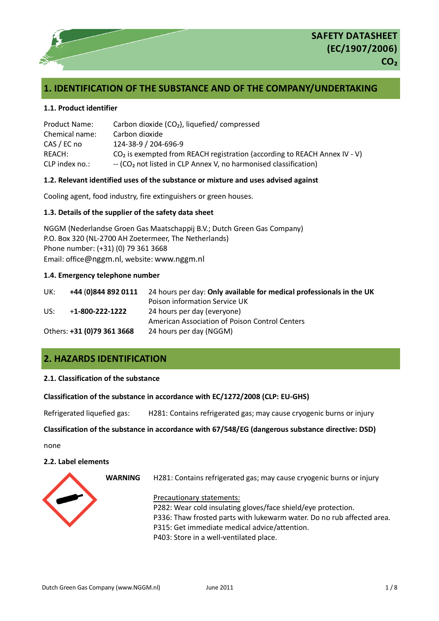

# **1. IDENTIFICATION OF THE SUBSTANCE AND OF THE COMPANY/UNDERTAKING**

### **1.1. Product identifier**

| <b>Product Name:</b> | Carbon dioxide $(CO2)$ , liquefied/compressed                                 |
|----------------------|-------------------------------------------------------------------------------|
| Chemical name:       | Carbon dioxide                                                                |
| CAS / EC no          | 124-38-9 / 204-696-9                                                          |
| REACH:               | $CO2$ is exempted from REACH registration (according to REACH Annex IV - V)   |
| CLP index no.:       | $-$ (CO <sub>2</sub> not listed in CLP Annex V, no harmonised classification) |

### **1.2. Relevant identified uses of the substance or mixture and uses advised against**

Cooling agent, food industry, fire extinguishers or green houses.

### **1.3. Details of the supplier of the safety data sheet**

NGGM (Nederlandse Groen Gas Maatschappij B.V.; Dutch Green Gas Company) P.O. Box 320 (NL-2700 AH Zoetermeer, The Netherlands) Phone number: (+31) (0) 79 361 3668 Email: office@nggm.nl, website: www.nggm.nl

### **1.4. Emergency telephone number**

| UK: | +44 (0)844 892 0111        | 24 hours per day: Only available for medical professionals in the UK |
|-----|----------------------------|----------------------------------------------------------------------|
|     |                            | Poison information Service UK                                        |
| US: | $+1 - 800 - 222 - 1222$    | 24 hours per day (everyone)                                          |
|     |                            | American Association of Poison Control Centers                       |
|     | Others: +31 (0)79 361 3668 | 24 hours per day (NGGM)                                              |

# **2. HAZARDS IDENTIFICATION**

### **2.1. Classification of the substance**

### **Classification of the substance in accordance with EC/1272/2008 (CLP: EU-GHS)**

Refrigerated liquefied gas: H281: Contains refrigerated gas; may cause cryogenic burns or injury

### **Classification of the substance in accordance with 67/548/EG (dangerous substance directive: DSD)**

none

### **2.2. Label elements**

**WARNING** H281: Contains refrigerated gas; may cause cryogenic burns or injury



Precautionary statements:

P282: Wear cold insulating gloves/face shield/eye protection. P336: Thaw frosted parts with lukewarm water. Do no rub affected area. P315: Get immediate medical advice/attention. P403: Store in a well-ventilated place.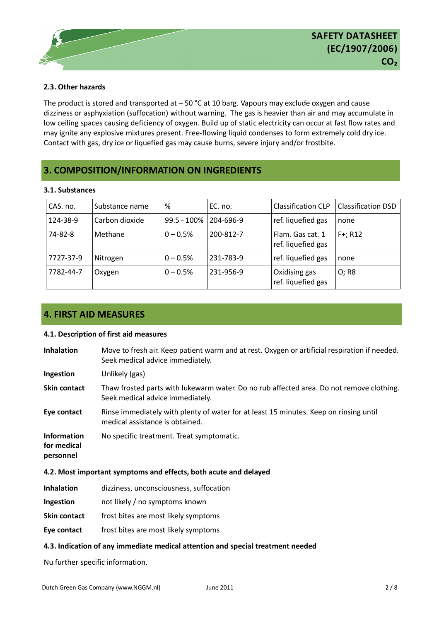### **2.3. Other hazards**

The product is stored and transported at  $-50$  °C at 10 barg. Vapours may exclude oxygen and cause dizziness or asphyxiation (suffocation) without warning. The gas is heavier than air and may accumulate in low ceiling spaces causing deficiency of oxygen. Build up of static electricity can occur at fast flow rates and may ignite any explosive mixtures present. Free-flowing liquid condenses to form extremely cold dry ice. Contact with gas, dry ice or liquefied gas may cause burns, severe injury and/or frostbite.

# **3. COMPOSITION/INFORMATION ON INGREDIENTS**

### **3.1. Substances**

| CAS. no.  | Substance name | %              | EC. no.   | <b>Classification CLP</b>              | <b>Classification DSD</b> |
|-----------|----------------|----------------|-----------|----------------------------------------|---------------------------|
| 124-38-9  | Carbon dioxide | $99.5 - 100\%$ | 204-696-9 | ref. liquefied gas                     | none                      |
| 74-82-8   | Methane        | $0 - 0.5%$     | 200-812-7 | Flam. Gas cat. 1<br>ref. liquefied gas | $F+; R12$                 |
| 7727-37-9 | Nitrogen       | $0 - 0.5%$     | 231-783-9 | ref. liquefied gas                     | none                      |
| 7782-44-7 | Oxygen         | $0 - 0.5%$     | 231-956-9 | Oxidising gas<br>ref. liquefied gas    | O: R8                     |

# **4. FIRST AID MEASURES**

### **4.1. Description of first aid measures**

| <b>Inhalation</b>                              | Move to fresh air. Keep patient warm and at rest. Oxygen or artificial respiration if needed.<br>Seek medical advice immediately. |
|------------------------------------------------|-----------------------------------------------------------------------------------------------------------------------------------|
| Ingestion                                      | Unlikely (gas)                                                                                                                    |
| Skin contact                                   | Thaw frosted parts with lukewarm water. Do no rub affected area. Do not remove clothing.<br>Seek medical advice immediately.      |
| Eye contact                                    | Rinse immediately with plenty of water for at least 15 minutes. Keep on rinsing until<br>medical assistance is obtained.          |
| <b>Information</b><br>for medical<br>personnel | No specific treatment. Treat symptomatic.                                                                                         |

### **4.2. Most important symptoms and effects, both acute and delayed**

- **Inhalation** dizziness, unconsciousness, suffocation **Ingestion** not likely / no symptoms known **Skin contact** frost bites are most likely symptoms
- **Eye contact** frost bites are most likely symptoms

### **4.3. Indication of any immediate medical attention and special treatment needed**

Nu further specific information.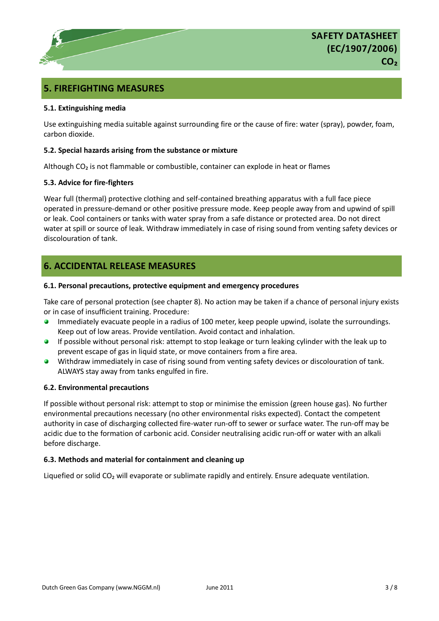# **5. FIREFIGHTING MEASURES**

### **5.1. Extinguishing media**

Use extinguishing media suitable against surrounding fire or the cause of fire: water (spray), powder, foam, carbon dioxide.

### **5.2. Special hazards arising from the substance or mixture**

Although CO₂ is not flammable or combustible, container can explode in heat or flames

### **5.3. Advice for fire-fighters**

Wear full (thermal) protective clothing and self-contained breathing apparatus with a full face piece operated in pressure-demand or other positive pressure mode. Keep people away from and upwind of spill or leak. Cool containers or tanks with water spray from a safe distance or protected area. Do not direct water at spill or source of leak. Withdraw immediately in case of rising sound from venting safety devices or discolouration of tank.

## **6. ACCIDENTAL RELEASE MEASURES**

### **6.1. Personal precautions, protective equipment and emergency procedures**

Take care of personal protection (see chapter 8). No action may be taken if a chance of personal injury exists or in case of insufficient training. Procedure:

- Immediately evacuate people in a radius of 100 meter, keep people upwind, isolate the surroundings.  $\bullet$ Keep out of low areas. Provide ventilation. Avoid contact and inhalation.
- If possible without personal risk: attempt to stop leakage or turn leaking cylinder with the leak up to prevent escape of gas in liquid state, or move containers from a fire area.
- Withdraw immediately in case of rising sound from venting safety devices or discolouration of tank. **REGISTER** ALWAYS stay away from tanks engulfed in fire.

### **6.2. Environmental precautions**

If possible without personal risk: attempt to stop or minimise the emission (green house gas). No further environmental precautions necessary (no other environmental risks expected). Contact the competent authority in case of discharging collected fire-water run-off to sewer or surface water. The run-off may be acidic due to the formation of carbonic acid. Consider neutralising acidic run-off or water with an alkali before discharge.

### **6.3. Methods and material for containment and cleaning up**

Liquefied or solid CO<sub>2</sub> will evaporate or sublimate rapidly and entirely. Ensure adequate ventilation.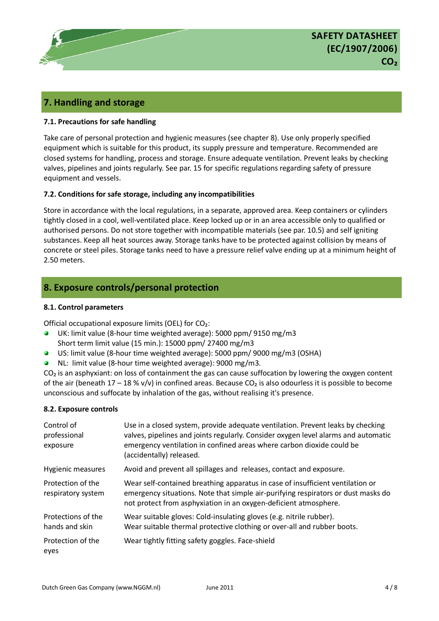

## **7. Handling and storage**

### **7.1. Precautions for safe handling**

Take care of personal protection and hygienic measures (see chapter 8). Use only properly specified equipment which is suitable for this product, its supply pressure and temperature. Recommended are closed systems for handling, process and storage. Ensure adequate ventilation. Prevent leaks by checking valves, pipelines and joints regularly. See par. 15 for specific regulations regarding safety of pressure equipment and vessels.

### **7.2. Conditions for safe storage, including any incompatibilities**

Store in accordance with the local regulations, in a separate, approved area. Keep containers or cylinders tightly closed in a cool, well-ventilated place. Keep locked up or in an area accessible only to qualified or authorised persons. Do not store together with incompatible materials (see par. 10.5) and self igniting substances. Keep all heat sources away. Storage tanks have to be protected against collision by means of concrete or steel piles. Storage tanks need to have a pressure relief valve ending up at a minimum height of 2.50 meters.

## **8. Exposure controls/personal protection**

### **8.1. Control parameters**

Official occupational exposure limits (OEL) for CO₂:

- $\bullet$ UK: limit value (8-hour time weighted average): 5000 ppm/ 9150 mg/m3 Short term limit value (15 min.): 15000 ppm/ 27400 mg/m3
- US: limit value (8-hour time weighted average): 5000 ppm/ 9000 mg/m3 (OSHA)
- NL: limit value (8-hour time weighted average): 9000 mg/m3.

 $CO<sub>2</sub>$  is an asphyxiant: on loss of containment the gas can cause suffocation by lowering the oxygen content of the air (beneath  $17 - 18$  % v/v) in confined areas. Because CO<sub>2</sub> is also odourless it is possible to become unconscious and suffocate by inhalation of the gas, without realising it's presence.

### **8.2. Exposure controls**

| Control of<br>professional<br>exposure  | Use in a closed system, provide adequate ventilation. Prevent leaks by checking<br>valves, pipelines and joints regularly. Consider oxygen level alarms and automatic<br>emergency ventilation in confined areas where carbon dioxide could be<br>(accidentally) released. |
|-----------------------------------------|----------------------------------------------------------------------------------------------------------------------------------------------------------------------------------------------------------------------------------------------------------------------------|
| <b>Hygienic measures</b>                | Avoid and prevent all spillages and releases, contact and exposure.                                                                                                                                                                                                        |
| Protection of the<br>respiratory system | Wear self-contained breathing apparatus in case of insufficient ventilation or<br>emergency situations. Note that simple air-purifying respirators or dust masks do<br>not protect from asphyxiation in an oxygen-deficient atmosphere.                                    |
| Protections of the<br>hands and skin    | Wear suitable gloves: Cold-insulating gloves (e.g. nitrile rubber).<br>Wear suitable thermal protective clothing or over-all and rubber boots.                                                                                                                             |
| Protection of the<br>eyes               | Wear tightly fitting safety goggles. Face-shield                                                                                                                                                                                                                           |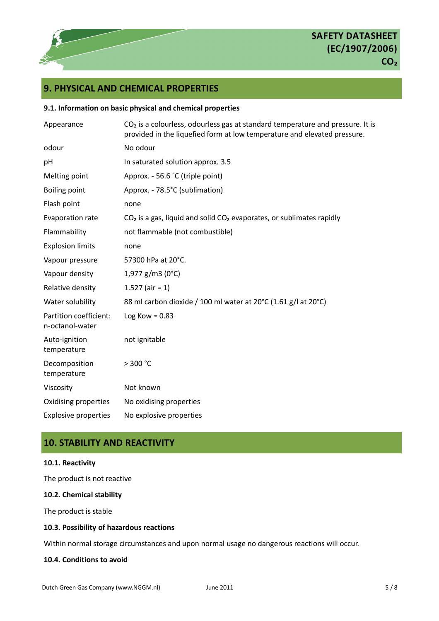

# **9. PHYSICAL AND CHEMICAL PROPERTIES**

### **9.1. Information on basic physical and chemical properties**

| Appearance                                | $CO2$ is a colourless, odourless gas at standard temperature and pressure. It is<br>provided in the liquefied form at low temperature and elevated pressure. |  |  |
|-------------------------------------------|--------------------------------------------------------------------------------------------------------------------------------------------------------------|--|--|
| odour                                     | No odour                                                                                                                                                     |  |  |
| pH                                        | In saturated solution approx. 3.5                                                                                                                            |  |  |
| Melting point                             | Approx. - 56.6 °C (triple point)                                                                                                                             |  |  |
| <b>Boiling point</b>                      | Approx. - 78.5°C (sublimation)                                                                                                                               |  |  |
| Flash point                               | none                                                                                                                                                         |  |  |
| Evaporation rate                          | $CO2$ is a gas, liquid and solid $CO2$ evaporates, or sublimates rapidly                                                                                     |  |  |
| Flammability                              | not flammable (not combustible)                                                                                                                              |  |  |
| <b>Explosion limits</b>                   | none                                                                                                                                                         |  |  |
| Vapour pressure                           | 57300 hPa at 20°C.                                                                                                                                           |  |  |
| Vapour density                            | $1,977$ g/m3 (0°C)                                                                                                                                           |  |  |
| Relative density                          | 1.527 (air = 1)                                                                                                                                              |  |  |
| Water solubility                          | 88 ml carbon dioxide / 100 ml water at 20°C (1.61 g/l at 20°C)                                                                                               |  |  |
| Partition coefficient:<br>n-octanol-water | Log Kow = $0.83$                                                                                                                                             |  |  |
| Auto-ignition<br>temperature              | not ignitable                                                                                                                                                |  |  |
| Decomposition<br>temperature              | > 300 °C                                                                                                                                                     |  |  |
| Viscosity                                 | Not known                                                                                                                                                    |  |  |
| Oxidising properties                      | No oxidising properties                                                                                                                                      |  |  |
| <b>Explosive properties</b>               | No explosive properties                                                                                                                                      |  |  |

# **10. STABILITY AND REACTIVITY**

### **10.1. Reactivity**

The product is not reactive

### **10.2. Chemical stability**

The product is stable

### **10.3. Possibility of hazardous reactions**

Within normal storage circumstances and upon normal usage no dangerous reactions will occur.

### **10.4. Conditions to avoid**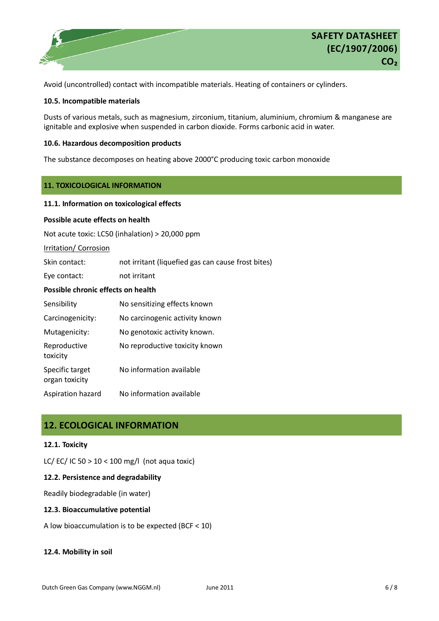

Avoid (uncontrolled) contact with incompatible materials. Heating of containers or cylinders.

### **10.5. Incompatible materials**

Dusts of various metals, such as magnesium, zirconium, titanium, aluminium, chromium & manganese are ignitable and explosive when suspended in carbon dioxide. Forms carbonic acid in water.

### **10.6. Hazardous decomposition products**

The substance decomposes on heating above 2000°C producing toxic carbon monoxide

### **11. TOXICOLOGICAL INFORMATION**

### **11.1. Information on toxicological effects**

### **Possible acute effects on health**

Not acute toxic: LC50 (inhalation) > 20,000 ppm

Irritation/ Corrosion

Skin contact: not irritant (liquefied gas can cause frost bites)

Eye contact: not irritant

### **Possible chronic effects on health**

| Sensibility                       | No sensitizing effects known   |
|-----------------------------------|--------------------------------|
| Carcinogenicity:                  | No carcinogenic activity known |
| Mutagenicity:                     | No genotoxic activity known.   |
| Reproductive<br>toxicity          | No reproductive toxicity known |
| Specific target<br>organ toxicity | No information available       |
| Aspiration hazard                 | No information available       |

## **12. ECOLOGICAL INFORMATION**

### **12.1. Toxicity**

LC/ EC/ IC 50 > 10 < 100 mg/l (not aqua toxic)

### **12.2. Persistence and degradability**

Readily biodegradable (in water)

### **12.3. Bioaccumulative potential**

A low bioaccumulation is to be expected (BCF < 10)

### **12.4. Mobility in soil**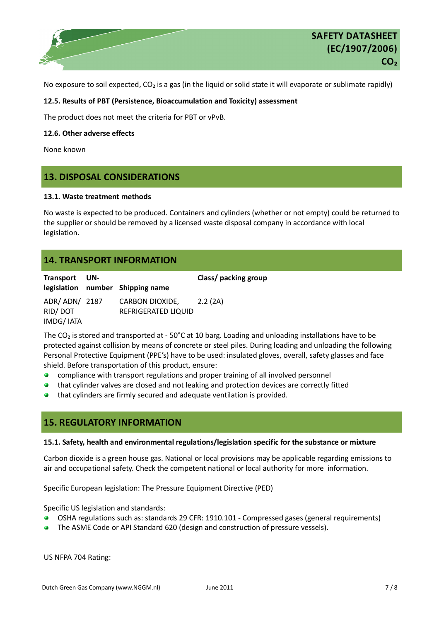

No exposure to soil expected,  $CO<sub>2</sub>$  is a gas (in the liquid or solid state it will evaporate or sublimate rapidly)

### **12.5. Results of PBT (Persistence, Bioaccumulation and Toxicity) assessment**

The product does not meet the criteria for PBT or vPvB.

**12.6. Other adverse effects** 

None known

## **13. DISPOSAL CONSIDERATIONS**

### **13.1. Waste treatment methods**

No waste is expected to be produced. Containers and cylinders (whether or not empty) could be returned to the supplier or should be removed by a licensed waste disposal company in accordance with local legislation.

# **14. TRANSPORT INFORMATION**

| Transport UN-                           | legislation number Shipping name              | Class/ packing group |
|-----------------------------------------|-----------------------------------------------|----------------------|
| ADR/ ADN/ 2187<br>RID/DOT<br>IMDG/ IATA | <b>CARBON DIOXIDE,</b><br>REFRIGERATED LIQUID | 2.2 (2A)             |

The CO<sub>2</sub> is stored and transported at - 50°C at 10 barg. Loading and unloading installations have to be protected against collision by means of concrete or steel piles. During loading and unloading the following Personal Protective Equipment (PPE's) have to be used: insulated gloves, overall, safety glasses and face shield. Before transportation of this product, ensure:

- compliance with transport regulations and proper training of all involved personnel  $\bullet$
- that cylinder valves are closed and not leaking and protection devices are correctly fitted  $\bullet$
- $\overline{\mathbf{a}}$ that cylinders are firmly secured and adequate ventilation is provided.

### **15. REGULATORY INFORMATION**

### **15.1. Safety, health and environmental regulations/legislation specific for the substance or mixture**

Carbon dioxide is a green house gas. National or local provisions may be applicable regarding emissions to air and occupational safety. Check the competent national or local authority for more information.

Specific European legislation: The Pressure Equipment Directive (PED)

Specific US legislation and standards:

- OSHA regulations such as: standards 29 CFR: 1910.101 Compressed gases (general requirements)  $\bullet$
- The ASME Code or API Standard 620 (design and construction of pressure vessels).

US NFPA 704 Rating: